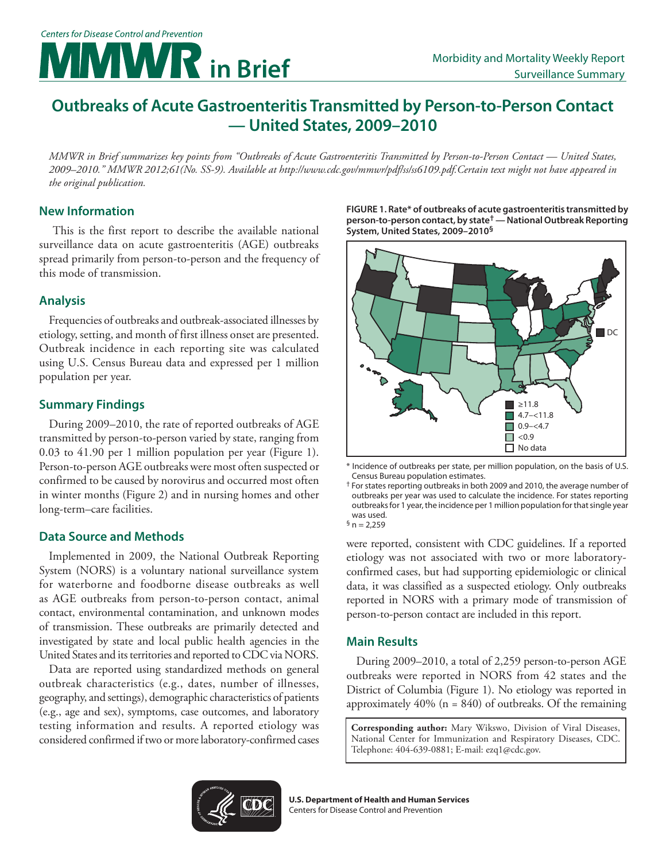# **Morbidity and Mortality Weekly Report** Morbidity and Mortality Weekly Report Surveillance Summary

# **Outbreaks of Acute Gastroenteritis Transmitted by Person-to-Person Contact — United States, 2009–2010**

*MMWR in Brief summarizes key points from "Outbreaks of Acute Gastroenteritis Transmitted by Person-to-Person Contact — United States, 2009–2010." MMWR 2012;61(No. SS-9). Available at [http://www.cdc.gov/mmwr/pdf/ss/ss6109.pdf.](http://www.cdc.gov/mmwr/pdf/ss/ss6109.pdf)Certain text might not have appeared in the original publication.* 

## **New Information**

 This is the first report to describe the available national surveillance data on acute gastroenteritis (AGE) outbreaks spread primarily from person-to-person and the frequency of this mode of transmission.

#### **Analysis**

Frequencies of outbreaks and outbreak-associated illnesses by etiology, setting, and month of first illness onset are presented. Outbreak incidence in each reporting site was calculated using U.S. Census Bureau data and expressed per 1 million population per year.

### **Summary Findings**

During 2009–2010, the rate of reported outbreaks of AGE transmitted by person-to-person varied by state, ranging from 0.03 to 41.90 per 1 million population per year (Figure 1). Person-to-person AGE outbreaks were most often suspected or confirmed to be caused by norovirus and occurred most often in winter months (Figure 2) and in nursing homes and other long-term–care facilities.

#### **Data Source and Methods**

Implemented in 2009, the National Outbreak Reporting System (NORS) is a voluntary national surveillance system for waterborne and foodborne disease outbreaks as well as AGE outbreaks from person-to-person contact, animal contact, environmental contamination, and unknown modes of transmission. These outbreaks are primarily detected and investigated by state and local public health agencies in the United States and its territories and reported to CDC via NORS.

Data are reported using standardized methods on general outbreak characteristics (e.g., dates, number of illnesses, geography, and settings), demographic characteristics of patients (e.g., age and sex), symptoms, case outcomes, and laboratory testing information and results. A reported etiology was considered confirmed if two or more laboratory-confirmed cases **FIGURE 1. Rate\* of outbreaks of acute gastroenteritis transmitted by person-to-person contact, by state† — National Outbreak Reporting System, United States, 2009–2010§**



<sup>\*</sup> Incidence of outbreaks per state, per million population, on the basis of U.S. Census Bureau population estimates.

were reported, consistent with CDC guidelines. If a reported etiology was not associated with two or more laboratoryconfirmed cases, but had supporting epidemiologic or clinical data, it was classified as a suspected etiology. Only outbreaks reported in NORS with a primary mode of transmission of person-to-person contact are included in this report.

#### **Main Results**

During 2009–2010, a total of 2,259 person-to-person AGE outbreaks were reported in NORS from 42 states and the District of Columbia (Figure 1). No etiology was reported in approximately  $40\%$  (n = 840) of outbreaks. Of the remaining

**Corresponding author:** Mary Wikswo, Division of Viral Diseases, National Center for Immunization and Respiratory Diseases, CDC. Telephone: 404-639-0881; E-mail: [ezq1@cdc.gov](mailto:ezq1%40cdc.gov?subject=).



<sup>†</sup> For states reporting outbreaks in both 2009 and 2010, the average number of outbreaks per year was used to calculate the incidence. For states reporting outbreaks for 1 year, the incidence per 1 million population for that single year was used.  ${}^{5}$  n = 2,259